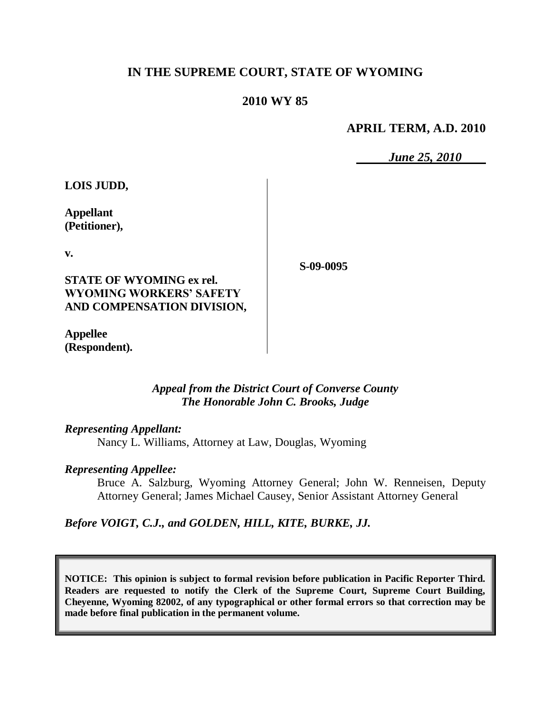# **IN THE SUPREME COURT, STATE OF WYOMING**

# **2010 WY 85**

## **APRIL TERM, A.D. 2010**

*June 25, 2010*

**LOIS JUDD,**

**Appellant (Petitioner),**

**v.**

**STATE OF WYOMING ex rel. WYOMING WORKERS' SAFETY AND COMPENSATION DIVISION,**

**Appellee (Respondent).** **S-09-0095**

## *Appeal from the District Court of Converse County The Honorable John C. Brooks, Judge*

#### *Representing Appellant:*

Nancy L. Williams, Attorney at Law, Douglas, Wyoming

## *Representing Appellee:*

Bruce A. Salzburg, Wyoming Attorney General; John W. Renneisen, Deputy Attorney General; James Michael Causey, Senior Assistant Attorney General

*Before VOIGT, C.J., and GOLDEN, HILL, KITE, BURKE, JJ.*

**NOTICE: This opinion is subject to formal revision before publication in Pacific Reporter Third. Readers are requested to notify the Clerk of the Supreme Court, Supreme Court Building, Cheyenne, Wyoming 82002, of any typographical or other formal errors so that correction may be made before final publication in the permanent volume.**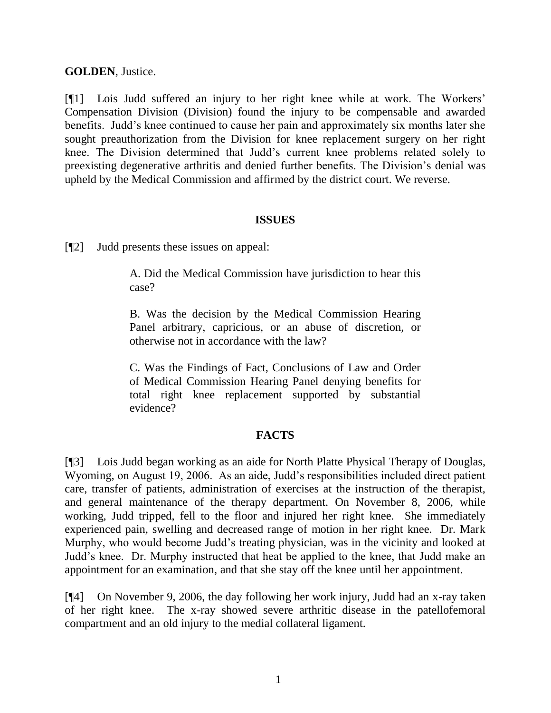**GOLDEN**, Justice.

[¶1] Lois Judd suffered an injury to her right knee while at work. The Workers" Compensation Division (Division) found the injury to be compensable and awarded benefits. Judd"s knee continued to cause her pain and approximately six months later she sought preauthorization from the Division for knee replacement surgery on her right knee. The Division determined that Judd"s current knee problems related solely to preexisting degenerative arthritis and denied further benefits. The Division"s denial was upheld by the Medical Commission and affirmed by the district court. We reverse.

## **ISSUES**

[¶2] Judd presents these issues on appeal:

A. Did the Medical Commission have jurisdiction to hear this case?

B. Was the decision by the Medical Commission Hearing Panel arbitrary, capricious, or an abuse of discretion, or otherwise not in accordance with the law?

C. Was the Findings of Fact, Conclusions of Law and Order of Medical Commission Hearing Panel denying benefits for total right knee replacement supported by substantial evidence?

# **FACTS**

[¶3] Lois Judd began working as an aide for North Platte Physical Therapy of Douglas, Wyoming, on August 19, 2006. As an aide, Judd"s responsibilities included direct patient care, transfer of patients, administration of exercises at the instruction of the therapist, and general maintenance of the therapy department. On November 8, 2006, while working, Judd tripped, fell to the floor and injured her right knee. She immediately experienced pain, swelling and decreased range of motion in her right knee. Dr. Mark Murphy, who would become Judd"s treating physician, was in the vicinity and looked at Judd"s knee. Dr. Murphy instructed that heat be applied to the knee, that Judd make an appointment for an examination, and that she stay off the knee until her appointment.

[¶4] On November 9, 2006, the day following her work injury, Judd had an x-ray taken of her right knee. The x-ray showed severe arthritic disease in the patellofemoral compartment and an old injury to the medial collateral ligament.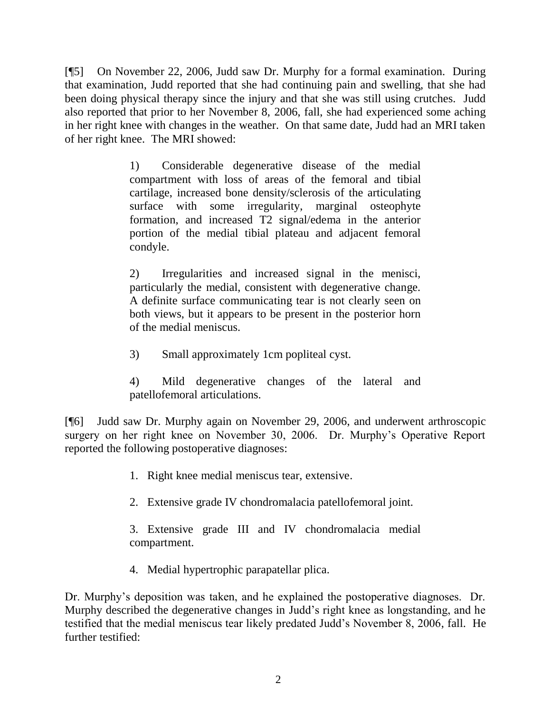[¶5] On November 22, 2006, Judd saw Dr. Murphy for a formal examination. During that examination, Judd reported that she had continuing pain and swelling, that she had been doing physical therapy since the injury and that she was still using crutches. Judd also reported that prior to her November 8, 2006, fall, she had experienced some aching in her right knee with changes in the weather. On that same date, Judd had an MRI taken of her right knee. The MRI showed:

> 1) Considerable degenerative disease of the medial compartment with loss of areas of the femoral and tibial cartilage, increased bone density/sclerosis of the articulating surface with some irregularity, marginal osteophyte formation, and increased T2 signal/edema in the anterior portion of the medial tibial plateau and adjacent femoral condyle.

> 2) Irregularities and increased signal in the menisci, particularly the medial, consistent with degenerative change. A definite surface communicating tear is not clearly seen on both views, but it appears to be present in the posterior horn of the medial meniscus.

3) Small approximately 1cm popliteal cyst.

4) Mild degenerative changes of the lateral and patellofemoral articulations.

[¶6] Judd saw Dr. Murphy again on November 29, 2006, and underwent arthroscopic surgery on her right knee on November 30, 2006. Dr. Murphy"s Operative Report reported the following postoperative diagnoses:

- 1. Right knee medial meniscus tear, extensive.
- 2. Extensive grade IV chondromalacia patellofemoral joint.

3. Extensive grade III and IV chondromalacia medial compartment.

4. Medial hypertrophic parapatellar plica.

Dr. Murphy"s deposition was taken, and he explained the postoperative diagnoses. Dr. Murphy described the degenerative changes in Judd"s right knee as longstanding, and he testified that the medial meniscus tear likely predated Judd"s November 8, 2006, fall. He further testified: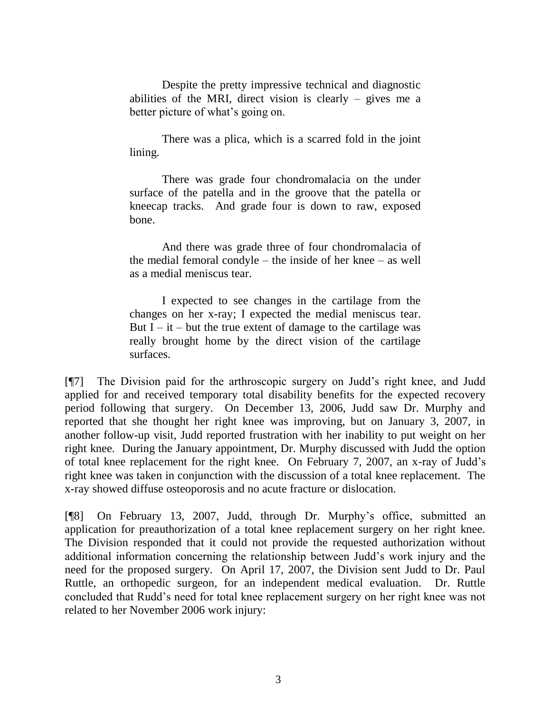Despite the pretty impressive technical and diagnostic abilities of the MRI, direct vision is clearly  $-$  gives me a better picture of what's going on.

There was a plica, which is a scarred fold in the joint lining.

There was grade four chondromalacia on the under surface of the patella and in the groove that the patella or kneecap tracks. And grade four is down to raw, exposed bone.

And there was grade three of four chondromalacia of the medial femoral condyle – the inside of her knee – as well as a medial meniscus tear.

I expected to see changes in the cartilage from the changes on her x-ray; I expected the medial meniscus tear. But  $I - it - but$  the true extent of damage to the cartilage was really brought home by the direct vision of the cartilage surfaces.

[¶7] The Division paid for the arthroscopic surgery on Judd"s right knee, and Judd applied for and received temporary total disability benefits for the expected recovery period following that surgery. On December 13, 2006, Judd saw Dr. Murphy and reported that she thought her right knee was improving, but on January 3, 2007, in another follow-up visit, Judd reported frustration with her inability to put weight on her right knee. During the January appointment, Dr. Murphy discussed with Judd the option of total knee replacement for the right knee. On February 7, 2007, an x-ray of Judd"s right knee was taken in conjunction with the discussion of a total knee replacement. The x-ray showed diffuse osteoporosis and no acute fracture or dislocation.

[¶8] On February 13, 2007, Judd, through Dr. Murphy"s office, submitted an application for preauthorization of a total knee replacement surgery on her right knee. The Division responded that it could not provide the requested authorization without additional information concerning the relationship between Judd"s work injury and the need for the proposed surgery. On April 17, 2007, the Division sent Judd to Dr. Paul Ruttle, an orthopedic surgeon, for an independent medical evaluation. Dr. Ruttle concluded that Rudd"s need for total knee replacement surgery on her right knee was not related to her November 2006 work injury: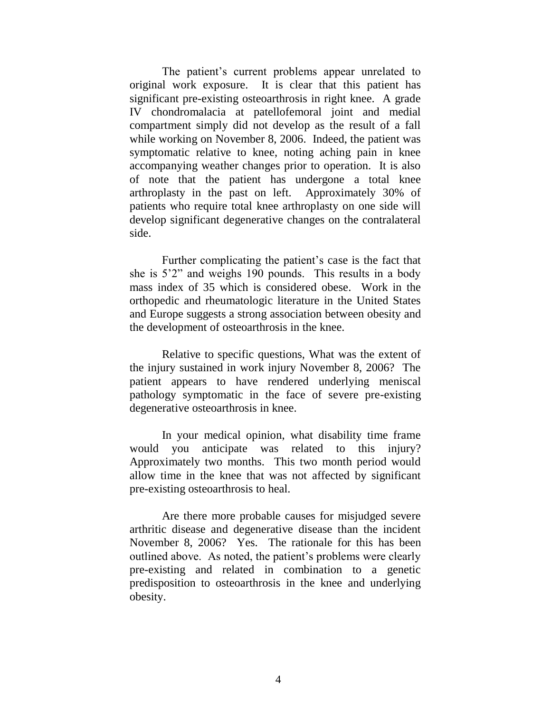The patient's current problems appear unrelated to original work exposure. It is clear that this patient has significant pre-existing osteoarthrosis in right knee. A grade IV chondromalacia at patellofemoral joint and medial compartment simply did not develop as the result of a fall while working on November 8, 2006. Indeed, the patient was symptomatic relative to knee, noting aching pain in knee accompanying weather changes prior to operation. It is also of note that the patient has undergone a total knee arthroplasty in the past on left. Approximately 30% of patients who require total knee arthroplasty on one side will develop significant degenerative changes on the contralateral side.

Further complicating the patient's case is the fact that she is 5'2" and weighs 190 pounds. This results in a body mass index of 35 which is considered obese. Work in the orthopedic and rheumatologic literature in the United States and Europe suggests a strong association between obesity and the development of osteoarthrosis in the knee.

Relative to specific questions, What was the extent of the injury sustained in work injury November 8, 2006? The patient appears to have rendered underlying meniscal pathology symptomatic in the face of severe pre-existing degenerative osteoarthrosis in knee.

In your medical opinion, what disability time frame would you anticipate was related to this injury? Approximately two months. This two month period would allow time in the knee that was not affected by significant pre-existing osteoarthrosis to heal.

Are there more probable causes for misjudged severe arthritic disease and degenerative disease than the incident November 8, 2006? Yes. The rationale for this has been outlined above. As noted, the patient's problems were clearly pre-existing and related in combination to a genetic predisposition to osteoarthrosis in the knee and underlying obesity.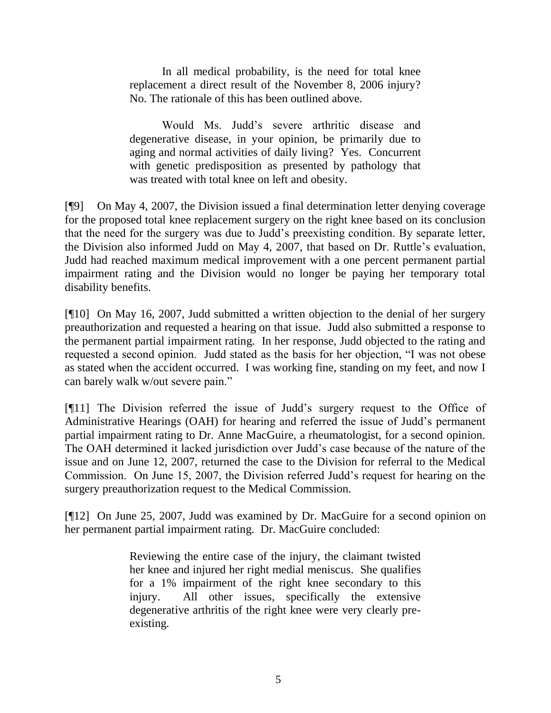In all medical probability, is the need for total knee replacement a direct result of the November 8, 2006 injury? No. The rationale of this has been outlined above.

Would Ms. Judd"s severe arthritic disease and degenerative disease, in your opinion, be primarily due to aging and normal activities of daily living? Yes. Concurrent with genetic predisposition as presented by pathology that was treated with total knee on left and obesity.

[¶9] On May 4, 2007, the Division issued a final determination letter denying coverage for the proposed total knee replacement surgery on the right knee based on its conclusion that the need for the surgery was due to Judd"s preexisting condition. By separate letter, the Division also informed Judd on May 4, 2007, that based on Dr. Ruttle"s evaluation, Judd had reached maximum medical improvement with a one percent permanent partial impairment rating and the Division would no longer be paying her temporary total disability benefits.

[¶10] On May 16, 2007, Judd submitted a written objection to the denial of her surgery preauthorization and requested a hearing on that issue. Judd also submitted a response to the permanent partial impairment rating. In her response, Judd objected to the rating and requested a second opinion. Judd stated as the basis for her objection, "I was not obese as stated when the accident occurred. I was working fine, standing on my feet, and now I can barely walk w/out severe pain."

[¶11] The Division referred the issue of Judd"s surgery request to the Office of Administrative Hearings (OAH) for hearing and referred the issue of Judd"s permanent partial impairment rating to Dr. Anne MacGuire, a rheumatologist, for a second opinion. The OAH determined it lacked jurisdiction over Judd"s case because of the nature of the issue and on June 12, 2007, returned the case to the Division for referral to the Medical Commission. On June 15, 2007, the Division referred Judd"s request for hearing on the surgery preauthorization request to the Medical Commission.

[¶12] On June 25, 2007, Judd was examined by Dr. MacGuire for a second opinion on her permanent partial impairment rating. Dr. MacGuire concluded:

> Reviewing the entire case of the injury, the claimant twisted her knee and injured her right medial meniscus. She qualifies for a 1% impairment of the right knee secondary to this injury. All other issues, specifically the extensive degenerative arthritis of the right knee were very clearly preexisting.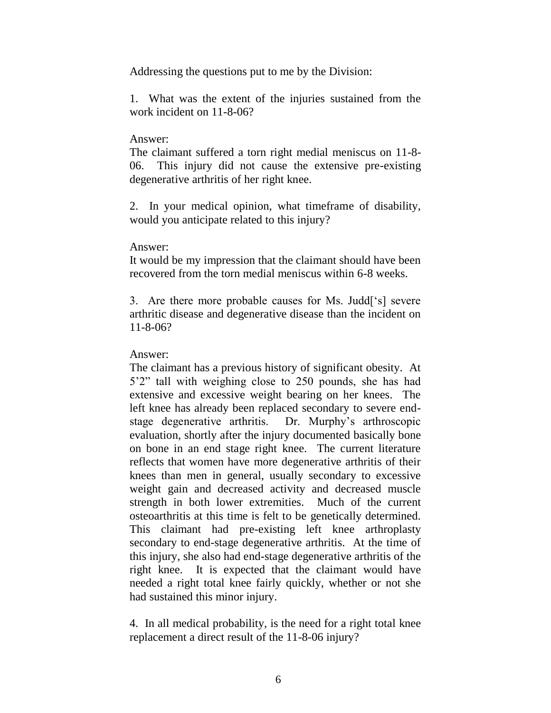Addressing the questions put to me by the Division:

1. What was the extent of the injuries sustained from the work incident on 11-8-06?

#### Answer:

The claimant suffered a torn right medial meniscus on 11-8- 06. This injury did not cause the extensive pre-existing degenerative arthritis of her right knee.

2. In your medical opinion, what timeframe of disability, would you anticipate related to this injury?

#### Answer:

It would be my impression that the claimant should have been recovered from the torn medial meniscus within 6-8 weeks.

3. Are there more probable causes for Ms. Judd["s] severe arthritic disease and degenerative disease than the incident on 11-8-06?

## Answer:

The claimant has a previous history of significant obesity. At 5"2" tall with weighing close to 250 pounds, she has had extensive and excessive weight bearing on her knees. The left knee has already been replaced secondary to severe endstage degenerative arthritis. Dr. Murphy"s arthroscopic evaluation, shortly after the injury documented basically bone on bone in an end stage right knee. The current literature reflects that women have more degenerative arthritis of their knees than men in general, usually secondary to excessive weight gain and decreased activity and decreased muscle strength in both lower extremities. Much of the current osteoarthritis at this time is felt to be genetically determined. This claimant had pre-existing left knee arthroplasty secondary to end-stage degenerative arthritis. At the time of this injury, she also had end-stage degenerative arthritis of the right knee. It is expected that the claimant would have needed a right total knee fairly quickly, whether or not she had sustained this minor injury.

4. In all medical probability, is the need for a right total knee replacement a direct result of the 11-8-06 injury?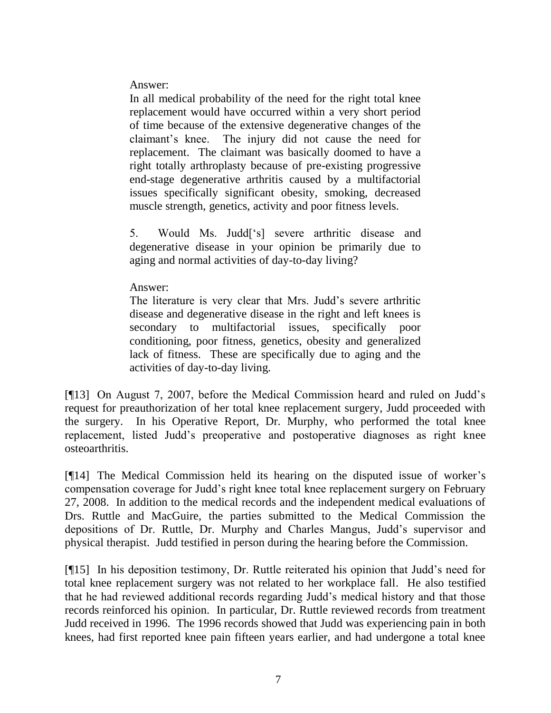Answer:

In all medical probability of the need for the right total knee replacement would have occurred within a very short period of time because of the extensive degenerative changes of the claimant"s knee. The injury did not cause the need for replacement. The claimant was basically doomed to have a right totally arthroplasty because of pre-existing progressive end-stage degenerative arthritis caused by a multifactorial issues specifically significant obesity, smoking, decreased muscle strength, genetics, activity and poor fitness levels.

5. Would Ms. Judd["s] severe arthritic disease and degenerative disease in your opinion be primarily due to aging and normal activities of day-to-day living?

Answer:

The literature is very clear that Mrs. Judd"s severe arthritic disease and degenerative disease in the right and left knees is secondary to multifactorial issues, specifically poor conditioning, poor fitness, genetics, obesity and generalized lack of fitness. These are specifically due to aging and the activities of day-to-day living.

[¶13] On August 7, 2007, before the Medical Commission heard and ruled on Judd"s request for preauthorization of her total knee replacement surgery, Judd proceeded with the surgery. In his Operative Report, Dr. Murphy, who performed the total knee replacement, listed Judd"s preoperative and postoperative diagnoses as right knee osteoarthritis.

[¶14] The Medical Commission held its hearing on the disputed issue of worker"s compensation coverage for Judd"s right knee total knee replacement surgery on February 27, 2008. In addition to the medical records and the independent medical evaluations of Drs. Ruttle and MacGuire, the parties submitted to the Medical Commission the depositions of Dr. Ruttle, Dr. Murphy and Charles Mangus, Judd"s supervisor and physical therapist. Judd testified in person during the hearing before the Commission.

[¶15] In his deposition testimony, Dr. Ruttle reiterated his opinion that Judd's need for total knee replacement surgery was not related to her workplace fall. He also testified that he had reviewed additional records regarding Judd"s medical history and that those records reinforced his opinion. In particular, Dr. Ruttle reviewed records from treatment Judd received in 1996. The 1996 records showed that Judd was experiencing pain in both knees, had first reported knee pain fifteen years earlier, and had undergone a total knee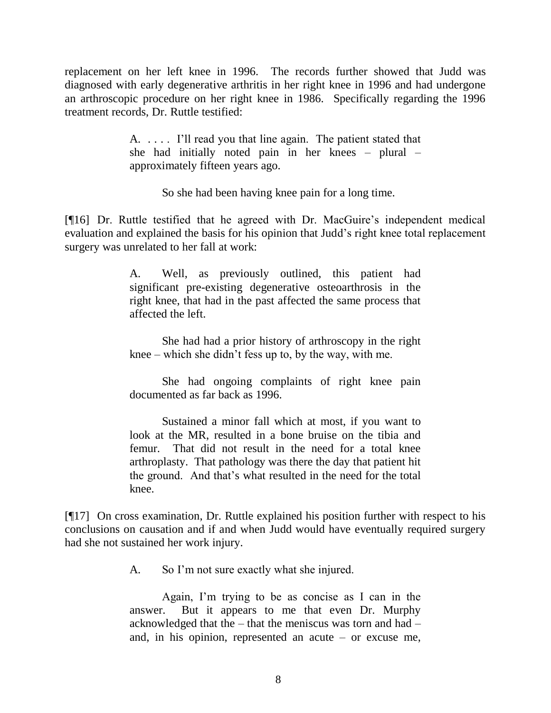replacement on her left knee in 1996. The records further showed that Judd was diagnosed with early degenerative arthritis in her right knee in 1996 and had undergone an arthroscopic procedure on her right knee in 1986. Specifically regarding the 1996 treatment records, Dr. Ruttle testified:

> A. . . . . I"ll read you that line again. The patient stated that she had initially noted pain in her knees – plural – approximately fifteen years ago.

> > So she had been having knee pain for a long time.

[¶16] Dr. Ruttle testified that he agreed with Dr. MacGuire"s independent medical evaluation and explained the basis for his opinion that Judd"s right knee total replacement surgery was unrelated to her fall at work:

> A. Well, as previously outlined, this patient had significant pre-existing degenerative osteoarthrosis in the right knee, that had in the past affected the same process that affected the left.

> She had had a prior history of arthroscopy in the right knee – which she didn"t fess up to, by the way, with me.

> She had ongoing complaints of right knee pain documented as far back as 1996.

> Sustained a minor fall which at most, if you want to look at the MR, resulted in a bone bruise on the tibia and femur. That did not result in the need for a total knee arthroplasty. That pathology was there the day that patient hit the ground. And that"s what resulted in the need for the total knee.

[¶17] On cross examination, Dr. Ruttle explained his position further with respect to his conclusions on causation and if and when Judd would have eventually required surgery had she not sustained her work injury.

A. So I"m not sure exactly what she injured.

Again, I"m trying to be as concise as I can in the answer. But it appears to me that even Dr. Murphy acknowledged that the – that the meniscus was torn and had – and, in his opinion, represented an acute – or excuse me,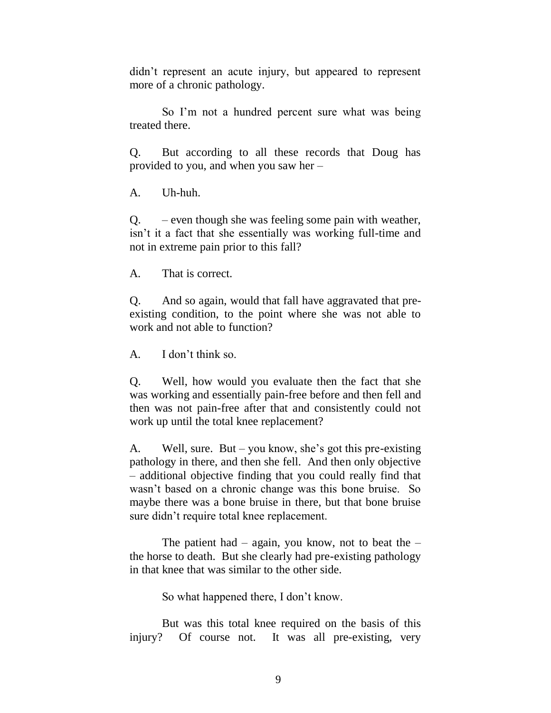didn"t represent an acute injury, but appeared to represent more of a chronic pathology.

So I'm not a hundred percent sure what was being treated there.

Q. But according to all these records that Doug has provided to you, and when you saw her –

A. Uh-huh.

Q. – even though she was feeling some pain with weather, isn"t it a fact that she essentially was working full-time and not in extreme pain prior to this fall?

A. That is correct.

Q. And so again, would that fall have aggravated that preexisting condition, to the point where she was not able to work and not able to function?

A. I don"t think so.

Q. Well, how would you evaluate then the fact that she was working and essentially pain-free before and then fell and then was not pain-free after that and consistently could not work up until the total knee replacement?

A. Well, sure. But – you know, she"s got this pre-existing pathology in there, and then she fell. And then only objective – additional objective finding that you could really find that wasn"t based on a chronic change was this bone bruise. So maybe there was a bone bruise in there, but that bone bruise sure didn"t require total knee replacement.

The patient had – again, you know, not to beat the – the horse to death. But she clearly had pre-existing pathology in that knee that was similar to the other side.

So what happened there, I don"t know.

But was this total knee required on the basis of this injury? Of course not. It was all pre-existing, very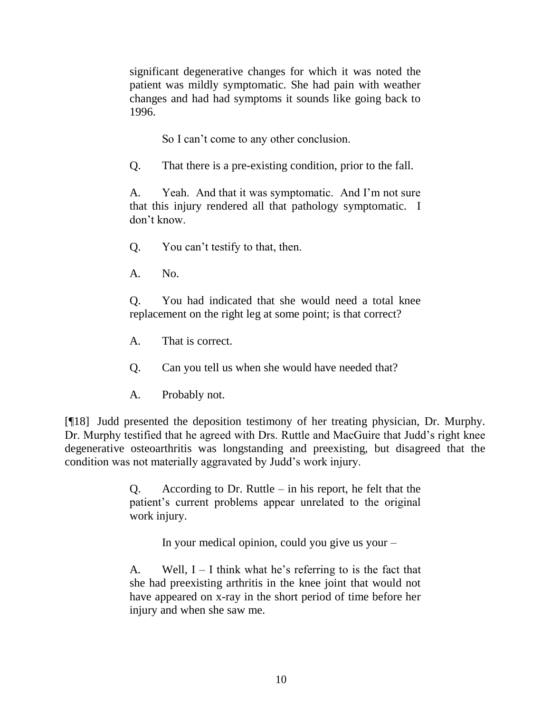significant degenerative changes for which it was noted the patient was mildly symptomatic. She had pain with weather changes and had had symptoms it sounds like going back to 1996.

So I can't come to any other conclusion.

Q. That there is a pre-existing condition, prior to the fall.

A. Yeah. And that it was symptomatic. And I"m not sure that this injury rendered all that pathology symptomatic. I don"t know.

Q. You can"t testify to that, then.

A. No.

Q. You had indicated that she would need a total knee replacement on the right leg at some point; is that correct?

A. That is correct.

Q. Can you tell us when she would have needed that?

A. Probably not.

[¶18] Judd presented the deposition testimony of her treating physician, Dr. Murphy. Dr. Murphy testified that he agreed with Drs. Ruttle and MacGuire that Judd"s right knee degenerative osteoarthritis was longstanding and preexisting, but disagreed that the condition was not materially aggravated by Judd"s work injury.

> Q. According to Dr. Ruttle – in his report, he felt that the patient"s current problems appear unrelated to the original work injury.

> > In your medical opinion, could you give us your –

A. Well,  $I - I$  think what he's referring to is the fact that she had preexisting arthritis in the knee joint that would not have appeared on x-ray in the short period of time before her injury and when she saw me.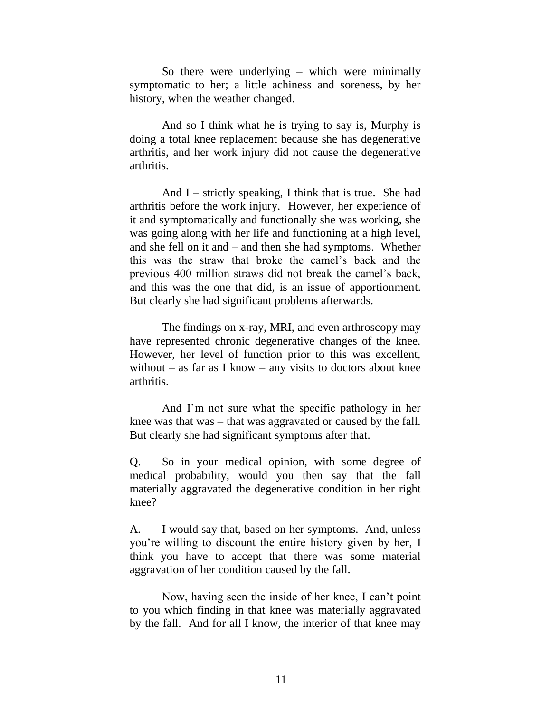So there were underlying – which were minimally symptomatic to her; a little achiness and soreness, by her history, when the weather changed.

And so I think what he is trying to say is, Murphy is doing a total knee replacement because she has degenerative arthritis, and her work injury did not cause the degenerative arthritis.

And  $I$  – strictly speaking, I think that is true. She had arthritis before the work injury. However, her experience of it and symptomatically and functionally she was working, she was going along with her life and functioning at a high level, and she fell on it and – and then she had symptoms. Whether this was the straw that broke the camel"s back and the previous 400 million straws did not break the camel"s back, and this was the one that did, is an issue of apportionment. But clearly she had significant problems afterwards.

The findings on x-ray, MRI, and even arthroscopy may have represented chronic degenerative changes of the knee. However, her level of function prior to this was excellent, without – as far as I know – any visits to doctors about knee arthritis.

And I"m not sure what the specific pathology in her knee was that was – that was aggravated or caused by the fall. But clearly she had significant symptoms after that.

Q. So in your medical opinion, with some degree of medical probability, would you then say that the fall materially aggravated the degenerative condition in her right knee?

A. I would say that, based on her symptoms. And, unless you"re willing to discount the entire history given by her, I think you have to accept that there was some material aggravation of her condition caused by the fall.

Now, having seen the inside of her knee, I can"t point to you which finding in that knee was materially aggravated by the fall. And for all I know, the interior of that knee may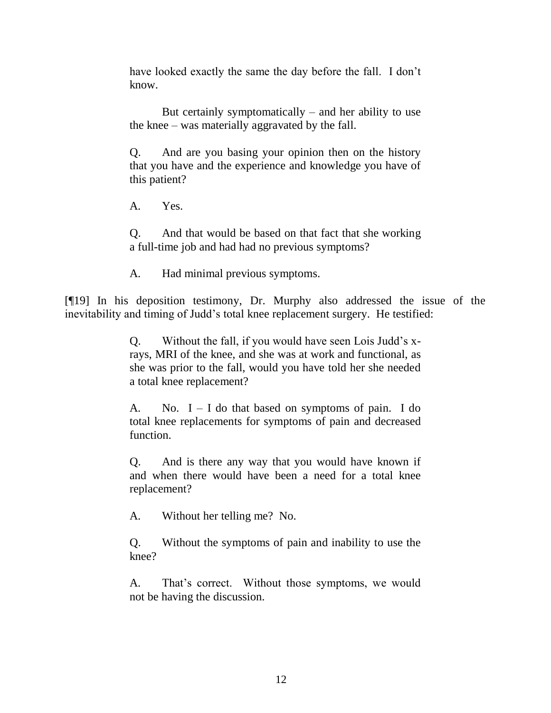have looked exactly the same the day before the fall. I don't know.

But certainly symptomatically  $-$  and her ability to use the knee – was materially aggravated by the fall.

Q. And are you basing your opinion then on the history that you have and the experience and knowledge you have of this patient?

A. Yes.

Q. And that would be based on that fact that she working a full-time job and had had no previous symptoms?

A. Had minimal previous symptoms.

[¶19] In his deposition testimony, Dr. Murphy also addressed the issue of the inevitability and timing of Judd's total knee replacement surgery. He testified:

> Q. Without the fall, if you would have seen Lois Judd"s xrays, MRI of the knee, and she was at work and functional, as she was prior to the fall, would you have told her she needed a total knee replacement?

> A. No.  $I - I$  do that based on symptoms of pain. I do total knee replacements for symptoms of pain and decreased function.

> Q. And is there any way that you would have known if and when there would have been a need for a total knee replacement?

A. Without her telling me? No.

Q. Without the symptoms of pain and inability to use the knee?

A. That's correct. Without those symptoms, we would not be having the discussion.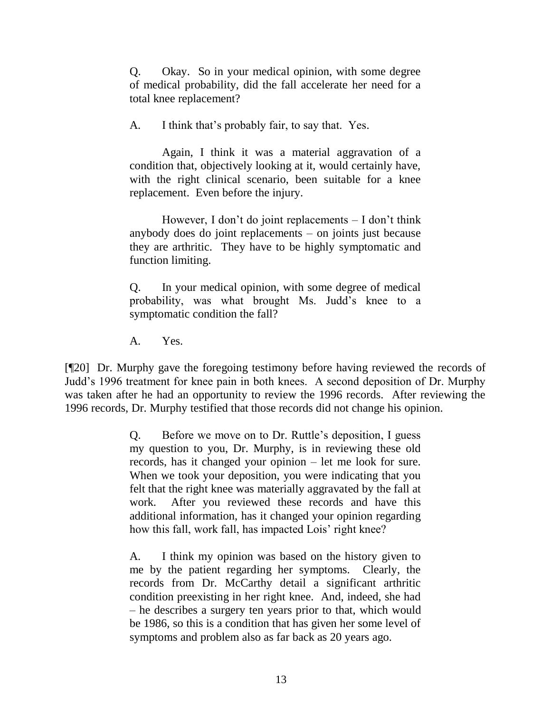Q. Okay. So in your medical opinion, with some degree of medical probability, did the fall accelerate her need for a total knee replacement?

A. I think that"s probably fair, to say that. Yes.

Again, I think it was a material aggravation of a condition that, objectively looking at it, would certainly have, with the right clinical scenario, been suitable for a knee replacement. Even before the injury.

However, I don't do joint replacements  $-$  I don't think anybody does do joint replacements – on joints just because they are arthritic. They have to be highly symptomatic and function limiting.

Q. In your medical opinion, with some degree of medical probability, was what brought Ms. Judd"s knee to a symptomatic condition the fall?

A. Yes.

[¶20] Dr. Murphy gave the foregoing testimony before having reviewed the records of Judd"s 1996 treatment for knee pain in both knees. A second deposition of Dr. Murphy was taken after he had an opportunity to review the 1996 records. After reviewing the 1996 records, Dr. Murphy testified that those records did not change his opinion.

> Q. Before we move on to Dr. Ruttle"s deposition, I guess my question to you, Dr. Murphy, is in reviewing these old records, has it changed your opinion – let me look for sure. When we took your deposition, you were indicating that you felt that the right knee was materially aggravated by the fall at work. After you reviewed these records and have this additional information, has it changed your opinion regarding how this fall, work fall, has impacted Lois' right knee?

> A. I think my opinion was based on the history given to me by the patient regarding her symptoms. Clearly, the records from Dr. McCarthy detail a significant arthritic condition preexisting in her right knee. And, indeed, she had – he describes a surgery ten years prior to that, which would be 1986, so this is a condition that has given her some level of symptoms and problem also as far back as 20 years ago.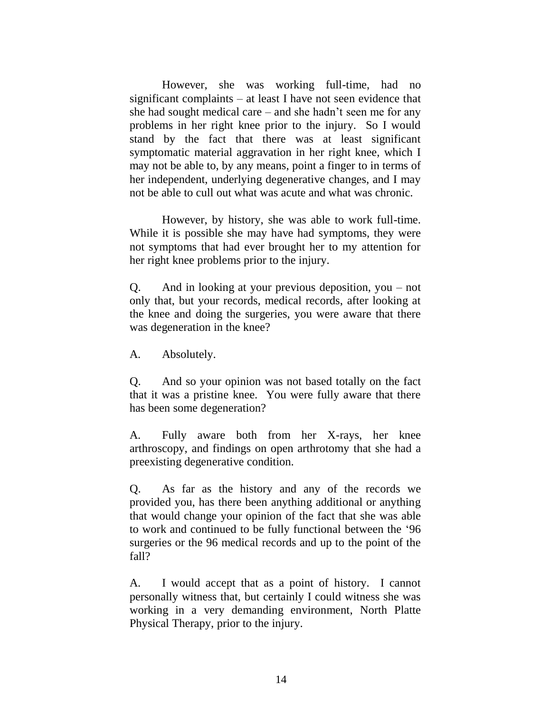However, she was working full-time, had no significant complaints – at least I have not seen evidence that she had sought medical care – and she hadn"t seen me for any problems in her right knee prior to the injury. So I would stand by the fact that there was at least significant symptomatic material aggravation in her right knee, which I may not be able to, by any means, point a finger to in terms of her independent, underlying degenerative changes, and I may not be able to cull out what was acute and what was chronic.

However, by history, she was able to work full-time. While it is possible she may have had symptoms, they were not symptoms that had ever brought her to my attention for her right knee problems prior to the injury.

Q. And in looking at your previous deposition, you – not only that, but your records, medical records, after looking at the knee and doing the surgeries, you were aware that there was degeneration in the knee?

A. Absolutely.

Q. And so your opinion was not based totally on the fact that it was a pristine knee. You were fully aware that there has been some degeneration?

A. Fully aware both from her X-rays, her knee arthroscopy, and findings on open arthrotomy that she had a preexisting degenerative condition.

Q. As far as the history and any of the records we provided you, has there been anything additional or anything that would change your opinion of the fact that she was able to work and continued to be fully functional between the "96 surgeries or the 96 medical records and up to the point of the fall?

A. I would accept that as a point of history. I cannot personally witness that, but certainly I could witness she was working in a very demanding environment, North Platte Physical Therapy, prior to the injury.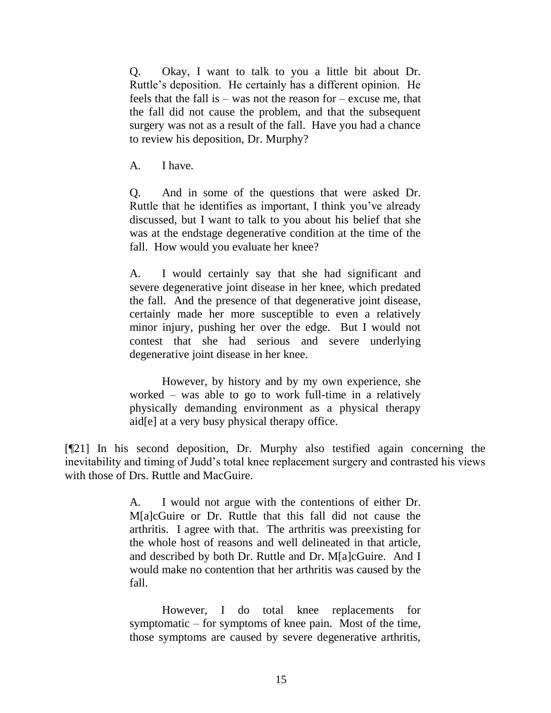Q. Okay, I want to talk to you a little bit about Dr. Ruttle"s deposition. He certainly has a different opinion. He feels that the fall is – was not the reason for – excuse me, that the fall did not cause the problem, and that the subsequent surgery was not as a result of the fall. Have you had a chance to review his deposition, Dr. Murphy?

A. I have.

Q. And in some of the questions that were asked Dr. Ruttle that he identifies as important, I think you"ve already discussed, but I want to talk to you about his belief that she was at the endstage degenerative condition at the time of the fall. How would you evaluate her knee?

A. I would certainly say that she had significant and severe degenerative joint disease in her knee, which predated the fall. And the presence of that degenerative joint disease, certainly made her more susceptible to even a relatively minor injury, pushing her over the edge. But I would not contest that she had serious and severe underlying degenerative joint disease in her knee.

However, by history and by my own experience, she worked – was able to go to work full-time in a relatively physically demanding environment as a physical therapy aid[e] at a very busy physical therapy office.

[¶21] In his second deposition, Dr. Murphy also testified again concerning the inevitability and timing of Judd"s total knee replacement surgery and contrasted his views with those of Drs. Ruttle and MacGuire.

> A. I would not argue with the contentions of either Dr. M[a]cGuire or Dr. Ruttle that this fall did not cause the arthritis. I agree with that. The arthritis was preexisting for the whole host of reasons and well delineated in that article, and described by both Dr. Ruttle and Dr. M[a]cGuire. And I would make no contention that her arthritis was caused by the fall.

> However, I do total knee replacements for symptomatic – for symptoms of knee pain. Most of the time, those symptoms are caused by severe degenerative arthritis,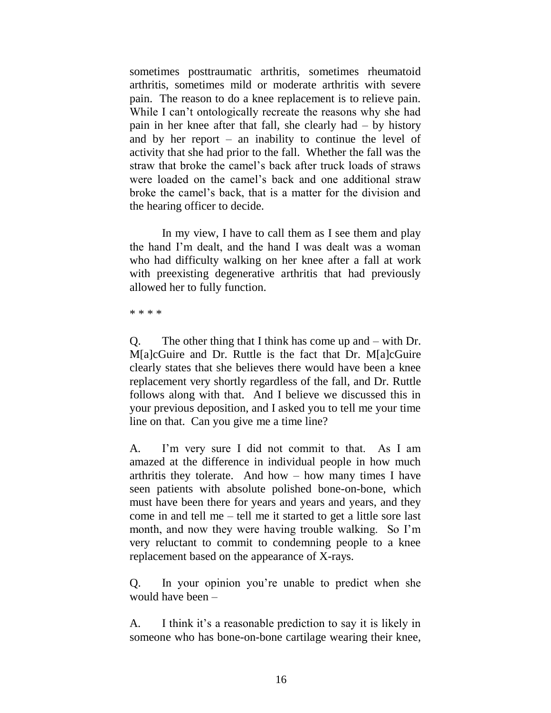sometimes posttraumatic arthritis, sometimes rheumatoid arthritis, sometimes mild or moderate arthritis with severe pain. The reason to do a knee replacement is to relieve pain. While I can't ontologically recreate the reasons why she had pain in her knee after that fall, she clearly had – by history and by her report – an inability to continue the level of activity that she had prior to the fall. Whether the fall was the straw that broke the camel"s back after truck loads of straws were loaded on the camel"s back and one additional straw broke the camel"s back, that is a matter for the division and the hearing officer to decide.

In my view, I have to call them as I see them and play the hand I"m dealt, and the hand I was dealt was a woman who had difficulty walking on her knee after a fall at work with preexisting degenerative arthritis that had previously allowed her to fully function.

\* \* \* \*

Q. The other thing that I think has come up and – with Dr. M[a]cGuire and Dr. Ruttle is the fact that Dr. M[a]cGuire clearly states that she believes there would have been a knee replacement very shortly regardless of the fall, and Dr. Ruttle follows along with that. And I believe we discussed this in your previous deposition, and I asked you to tell me your time line on that. Can you give me a time line?

A. I"m very sure I did not commit to that. As I am amazed at the difference in individual people in how much arthritis they tolerate. And how – how many times I have seen patients with absolute polished bone-on-bone, which must have been there for years and years and years, and they come in and tell me – tell me it started to get a little sore last month, and now they were having trouble walking. So I'm very reluctant to commit to condemning people to a knee replacement based on the appearance of X-rays.

Q. In your opinion you"re unable to predict when she would have been –

A. I think it's a reasonable prediction to say it is likely in someone who has bone-on-bone cartilage wearing their knee,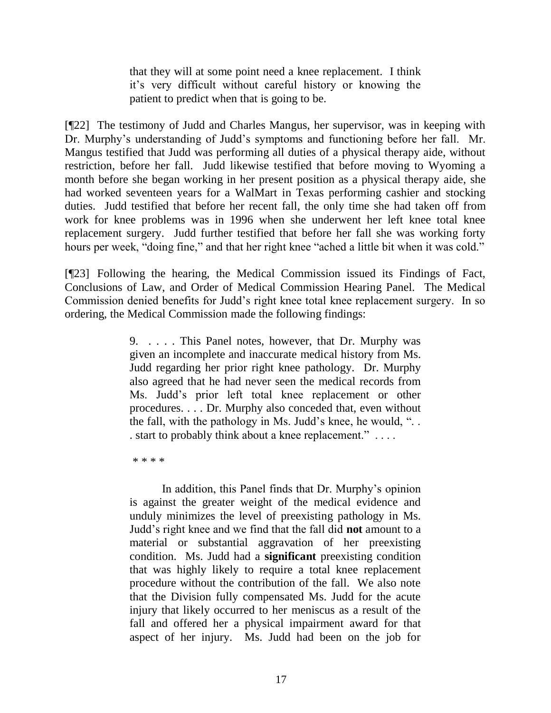that they will at some point need a knee replacement. I think it"s very difficult without careful history or knowing the patient to predict when that is going to be.

[¶22] The testimony of Judd and Charles Mangus, her supervisor, was in keeping with Dr. Murphy's understanding of Judd's symptoms and functioning before her fall. Mr. Mangus testified that Judd was performing all duties of a physical therapy aide, without restriction, before her fall. Judd likewise testified that before moving to Wyoming a month before she began working in her present position as a physical therapy aide, she had worked seventeen years for a WalMart in Texas performing cashier and stocking duties. Judd testified that before her recent fall, the only time she had taken off from work for knee problems was in 1996 when she underwent her left knee total knee replacement surgery. Judd further testified that before her fall she was working forty hours per week, "doing fine," and that her right knee "ached a little bit when it was cold."

[¶23] Following the hearing, the Medical Commission issued its Findings of Fact, Conclusions of Law, and Order of Medical Commission Hearing Panel. The Medical Commission denied benefits for Judd"s right knee total knee replacement surgery. In so ordering, the Medical Commission made the following findings:

> 9. . . . . This Panel notes, however, that Dr. Murphy was given an incomplete and inaccurate medical history from Ms. Judd regarding her prior right knee pathology. Dr. Murphy also agreed that he had never seen the medical records from Ms. Judd"s prior left total knee replacement or other procedures. . . . Dr. Murphy also conceded that, even without the fall, with the pathology in Ms. Judd"s knee, he would, ". . . start to probably think about a knee replacement." . . . .

\* \* \* \*

In addition, this Panel finds that Dr. Murphy"s opinion is against the greater weight of the medical evidence and unduly minimizes the level of preexisting pathology in Ms. Judd"s right knee and we find that the fall did **not** amount to a material or substantial aggravation of her preexisting condition. Ms. Judd had a **significant** preexisting condition that was highly likely to require a total knee replacement procedure without the contribution of the fall. We also note that the Division fully compensated Ms. Judd for the acute injury that likely occurred to her meniscus as a result of the fall and offered her a physical impairment award for that aspect of her injury. Ms. Judd had been on the job for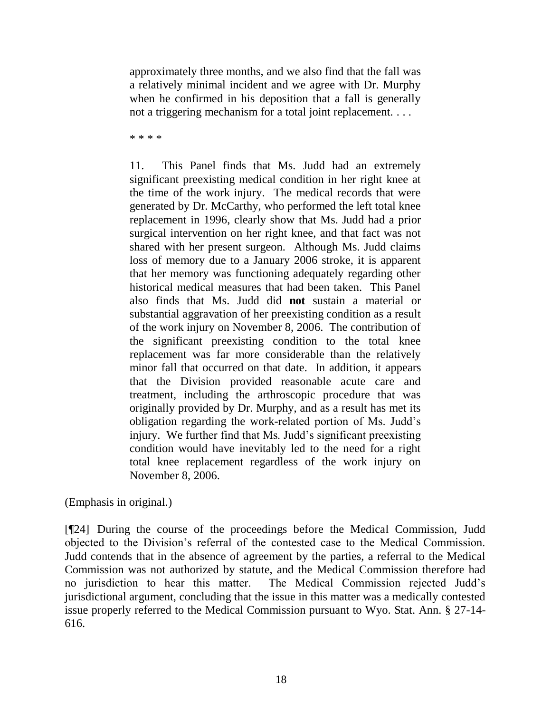approximately three months, and we also find that the fall was a relatively minimal incident and we agree with Dr. Murphy when he confirmed in his deposition that a fall is generally not a triggering mechanism for a total joint replacement. . . .

\* \* \* \*

11. This Panel finds that Ms. Judd had an extremely significant preexisting medical condition in her right knee at the time of the work injury. The medical records that were generated by Dr. McCarthy, who performed the left total knee replacement in 1996, clearly show that Ms. Judd had a prior surgical intervention on her right knee, and that fact was not shared with her present surgeon. Although Ms. Judd claims loss of memory due to a January 2006 stroke, it is apparent that her memory was functioning adequately regarding other historical medical measures that had been taken. This Panel also finds that Ms. Judd did **not** sustain a material or substantial aggravation of her preexisting condition as a result of the work injury on November 8, 2006. The contribution of the significant preexisting condition to the total knee replacement was far more considerable than the relatively minor fall that occurred on that date. In addition, it appears that the Division provided reasonable acute care and treatment, including the arthroscopic procedure that was originally provided by Dr. Murphy, and as a result has met its obligation regarding the work-related portion of Ms. Judd"s injury. We further find that Ms. Judd's significant preexisting condition would have inevitably led to the need for a right total knee replacement regardless of the work injury on November 8, 2006.

(Emphasis in original.)

[¶24] During the course of the proceedings before the Medical Commission, Judd objected to the Division"s referral of the contested case to the Medical Commission. Judd contends that in the absence of agreement by the parties, a referral to the Medical Commission was not authorized by statute, and the Medical Commission therefore had no jurisdiction to hear this matter. The Medical Commission rejected Judd"s jurisdictional argument, concluding that the issue in this matter was a medically contested issue properly referred to the Medical Commission pursuant to Wyo. Stat. Ann. § 27-14- 616.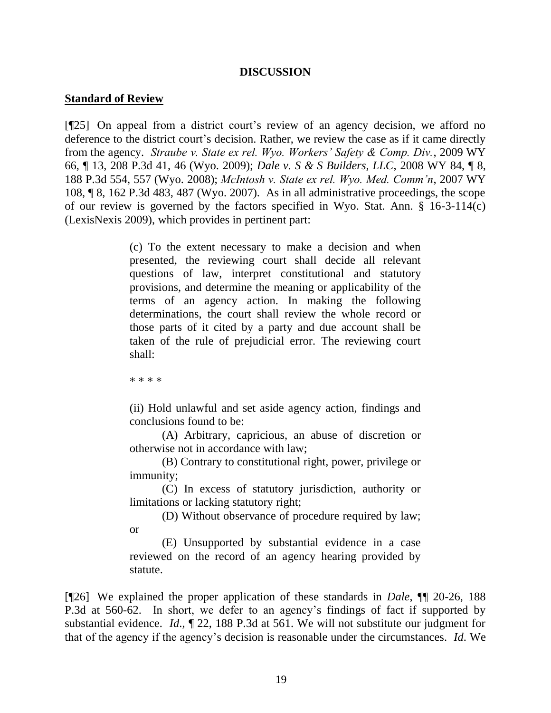#### **DISCUSSION**

#### **Standard of Review**

[¶25] On appeal from a district court's review of an agency decision, we afford no deference to the district court's decision. Rather, we review the case as if it came directly from the agency. *Straube v. State ex rel. Wyo. Workers' Safety & Comp. Div.*, 2009 WY 66, ¶ 13, 208 P.3d 41, 46 (Wyo. 2009); *Dale v. S & S Builders, LLC*, 2008 WY 84, ¶ 8, 188 P.3d 554, 557 (Wyo. 2008); *McIntosh v. State ex rel. Wyo. Med. Comm'n*, 2007 WY 108, ¶ 8, 162 P.3d 483, 487 (Wyo. 2007). As in all administrative proceedings, the scope of our review is governed by the factors specified in Wyo. Stat. Ann. § 16-3-114(c) (LexisNexis 2009), which provides in pertinent part:

> (c) To the extent necessary to make a decision and when presented, the reviewing court shall decide all relevant questions of law, interpret constitutional and statutory provisions, and determine the meaning or applicability of the terms of an agency action. In making the following determinations, the court shall review the whole record or those parts of it cited by a party and due account shall be taken of the rule of prejudicial error. The reviewing court shall:

\* \* \* \*

(ii) Hold unlawful and set aside agency action, findings and conclusions found to be:

(A) Arbitrary, capricious, an abuse of discretion or otherwise not in accordance with law;

(B) Contrary to constitutional right, power, privilege or immunity;

(C) In excess of statutory jurisdiction, authority or limitations or lacking statutory right;

(D) Without observance of procedure required by law; or

(E) Unsupported by substantial evidence in a case reviewed on the record of an agency hearing provided by statute.

[¶26] We explained the proper application of these standards in *Dale*, ¶¶ 20-26, 188 P.3d at 560-62. In short, we defer to an agency"s findings of fact if supported by substantial evidence. *Id*., ¶ 22, 188 P.3d at 561. We will not substitute our judgment for that of the agency if the agency"s decision is reasonable under the circumstances. *Id*. We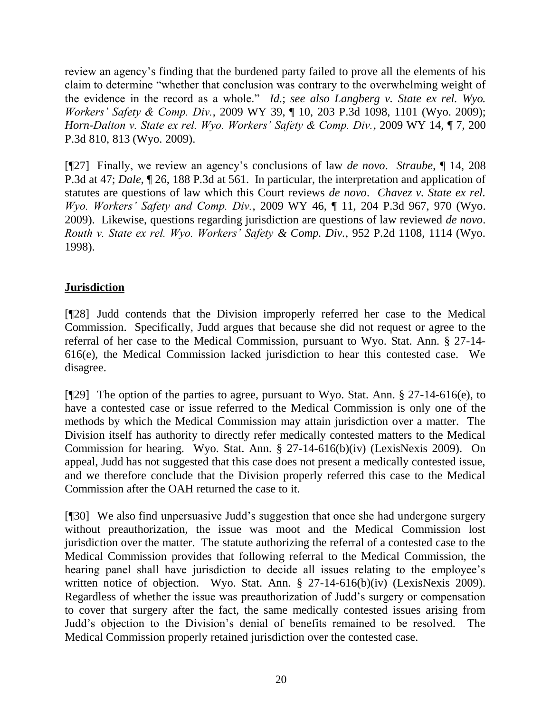review an agency's finding that the burdened party failed to prove all the elements of his claim to determine "whether that conclusion was contrary to the overwhelming weight of the evidence in the record as a whole." *Id*.; *see also Langberg v. State ex rel. Wyo. Workers' Safety & Comp. Div.*, 2009 WY 39, ¶ 10, 203 P.3d 1098, 1101 (Wyo. 2009); *Horn-Dalton v. State ex rel. Wyo. Workers' Safety & Comp. Div.*, 2009 WY 14, ¶ 7, 200 P.3d 810, 813 (Wyo. 2009).

[¶27] Finally, we review an agency"s conclusions of law *de novo*. *Straube*, ¶ 14, 208 P.3d at 47; *Dale*, ¶ 26, 188 P.3d at 561. In particular, the interpretation and application of statutes are questions of law which this Court reviews *de novo*. *Chavez v. State ex rel. Wyo. Workers' Safety and Comp. Div.*, 2009 WY 46, ¶ 11, 204 P.3d 967, 970 (Wyo. 2009). Likewise, questions regarding jurisdiction are questions of law reviewed *de novo*. *Routh v. State ex rel. Wyo. Workers' Safety & Comp. Div.*, 952 P.2d 1108, 1114 (Wyo. 1998).

# **Jurisdiction**

[¶28] Judd contends that the Division improperly referred her case to the Medical Commission. Specifically, Judd argues that because she did not request or agree to the referral of her case to the Medical Commission, pursuant to Wyo. Stat. Ann. § 27-14- 616(e), the Medical Commission lacked jurisdiction to hear this contested case. We disagree.

[ $[$ [29] The option of the parties to agree, pursuant to Wyo. Stat. Ann. § 27-14-616(e), to have a contested case or issue referred to the Medical Commission is only one of the methods by which the Medical Commission may attain jurisdiction over a matter. The Division itself has authority to directly refer medically contested matters to the Medical Commission for hearing. Wyo. Stat. Ann. § 27-14-616(b)(iv) (LexisNexis 2009). On appeal, Judd has not suggested that this case does not present a medically contested issue, and we therefore conclude that the Division properly referred this case to the Medical Commission after the OAH returned the case to it.

[¶30] We also find unpersuasive Judd"s suggestion that once she had undergone surgery without preauthorization, the issue was moot and the Medical Commission lost jurisdiction over the matter. The statute authorizing the referral of a contested case to the Medical Commission provides that following referral to the Medical Commission, the hearing panel shall have jurisdiction to decide all issues relating to the employee's written notice of objection. Wyo. Stat. Ann. § 27-14-616(b)(iv) (LexisNexis 2009). Regardless of whether the issue was preauthorization of Judd"s surgery or compensation to cover that surgery after the fact, the same medically contested issues arising from Judd"s objection to the Division"s denial of benefits remained to be resolved. The Medical Commission properly retained jurisdiction over the contested case.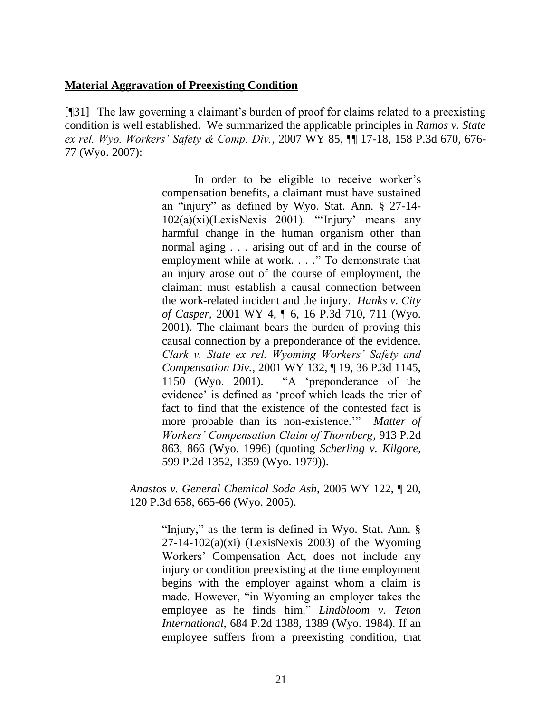### **Material Aggravation of Preexisting Condition**

[¶31] The law governing a claimant"s burden of proof for claims related to a preexisting condition is well established. We summarized the applicable principles in *Ramos v. State ex rel. Wyo. Workers' Safety & Comp. Div.*, 2007 WY 85, ¶¶ 17-18, 158 P.3d 670, 676- 77 (Wyo. 2007):

> In order to be eligible to receive worker's compensation benefits, a claimant must have sustained an "injury" as defined by Wyo. Stat. Ann. § 27-14-  $102(a)(xi)(Lexi)$ ExisNexis 2001). "Injury' means any harmful change in the human organism other than normal aging . . . arising out of and in the course of employment while at work. . . ." To demonstrate that an injury arose out of the course of employment, the claimant must establish a causal connection between the work-related incident and the injury. *Hanks v. City of Casper*, 2001 WY 4, ¶ 6, 16 P.3d 710, 711 (Wyo. 2001). The claimant bears the burden of proving this causal connection by a preponderance of the evidence. *Clark v. State ex rel. Wyoming Workers' Safety and Compensation Div.*, 2001 WY 132, ¶ 19, 36 P.3d 1145, 1150 (Wyo. 2001). "A "preponderance of the evidence" is defined as "proof which leads the trier of fact to find that the existence of the contested fact is more probable than its non-existence."" *Matter of Workers' Compensation Claim of Thornberg*, 913 P.2d 863, 866 (Wyo. 1996) (quoting *Scherling v. Kilgore*, 599 P.2d 1352, 1359 (Wyo. 1979)).

*Anastos v. General Chemical Soda Ash*, 2005 WY 122, ¶ 20, 120 P.3d 658, 665-66 (Wyo. 2005).

> "Injury," as the term is defined in [Wyo. Stat. Ann. §](http://www.westlaw.com/Find/Default.wl?rs=dfa1.0&vr=2.0&DB=1000377&DocName=WYSTS27-14-102&FindType=L)   $27-14-102(a)(xi)$  $27-14-102(a)(xi)$  (LexisNexis 2003) of the Wyoming Workers" Compensation Act, does not include any injury or condition preexisting at the time employment begins with the employer against whom a claim is made. However, "in Wyoming an employer takes the employee as he finds him." *[Lindbloom v. Teton](http://www.westlaw.com/Find/Default.wl?rs=dfa1.0&vr=2.0&DB=661&FindType=Y&ReferencePositionType=S&SerialNum=1984137704&ReferencePosition=1389)  [International](http://www.westlaw.com/Find/Default.wl?rs=dfa1.0&vr=2.0&DB=661&FindType=Y&ReferencePositionType=S&SerialNum=1984137704&ReferencePosition=1389)*, [684 P.2d 1388, 1389 \(Wyo.](http://www.westlaw.com/Find/Default.wl?rs=dfa1.0&vr=2.0&DB=661&FindType=Y&ReferencePositionType=S&SerialNum=1984137704&ReferencePosition=1389) 1984). If an employee suffers from a preexisting condition, that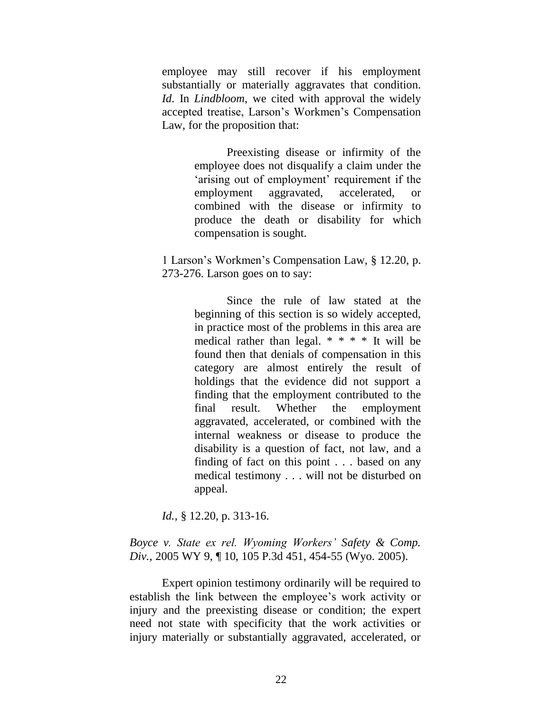employee may still recover if his employment substantially or materially aggravates that condition. *[Id](http://www.westlaw.com/Find/Default.wl?rs=dfa1.0&vr=2.0&FindType=Y&SerialNum=1984137704)*. In *[Lindbloom](http://www.westlaw.com/Find/Default.wl?rs=dfa1.0&vr=2.0&FindType=Y&SerialNum=1984137704)*, we cited with approval the widely accepted treatise, Larson"s Workmen"s Compensation Law, for the proposition that:

> Preexisting disease or infirmity of the employee does not disqualify a claim under the 'arising out of employment' requirement if the employment aggravated, accelerated, or combined with the disease or infirmity to produce the death or disability for which compensation is sought.

1 Larson"s Workmen"s Compensation Law, § 12.20, p. 273-276. Larson goes on to say:

> Since the rule of law stated at the beginning of this section is so widely accepted, in practice most of the problems in this area are medical rather than legal.  $* * * *$  It will be found then that denials of compensation in this category are almost entirely the result of holdings that the evidence did not support a finding that the employment contributed to the final result. Whether the employment aggravated, accelerated, or combined with the internal weakness or disease to produce the disability is a question of fact, not law, and a finding of fact on this point . . . based on any medical testimony . . . will not be disturbed on appeal.

*Id.,* § 12.20, p. 313-16.

*[Boyce v. State ex rel. Wyoming Workers'](http://www.westlaw.com/Find/Default.wl?rs=dfa1.0&vr=2.0&DB=4645&FindType=Y&ReferencePositionType=S&SerialNum=2006147042&ReferencePosition=454) Safety & Comp. [Div.](http://www.westlaw.com/Find/Default.wl?rs=dfa1.0&vr=2.0&DB=4645&FindType=Y&ReferencePositionType=S&SerialNum=2006147042&ReferencePosition=454)*, [2005 WY 9, ¶ 10, 105 P.3d 451, 454-55 \(Wyo.](http://www.westlaw.com/Find/Default.wl?rs=dfa1.0&vr=2.0&DB=4645&FindType=Y&ReferencePositionType=S&SerialNum=2006147042&ReferencePosition=454) 2005).

Expert opinion testimony ordinarily will be required to establish the link between the employee"s work activity or injury and the preexisting disease or condition; the expert need not state with specificity that the work activities or injury materially or substantially aggravated, accelerated, or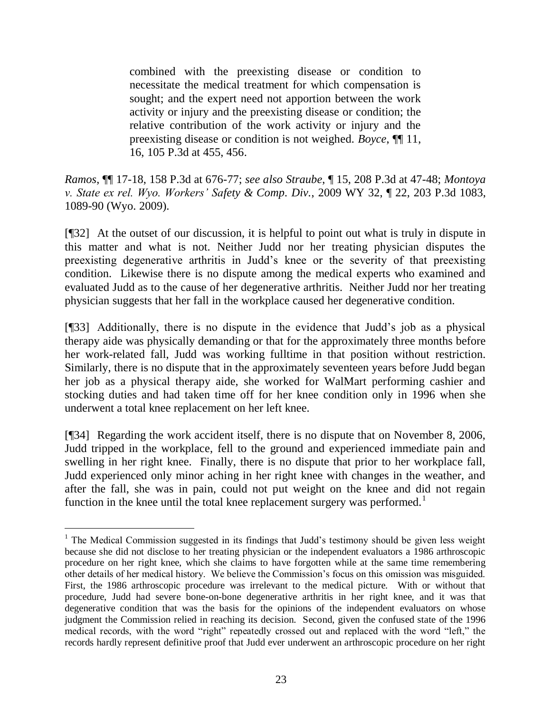combined with the preexisting disease or condition to necessitate the medical treatment for which compensation is sought; and the expert need not apportion between the work activity or injury and the preexisting disease or condition; the relative contribution of the work activity or injury and the preexisting disease or condition is not weighed. *[Boyce](http://www.westlaw.com/Find/Default.wl?rs=dfa1.0&vr=2.0&DB=4645&FindType=Y&ReferencePositionType=S&SerialNum=2006147042&ReferencePosition=455)*, [¶¶ 11,](http://www.westlaw.com/Find/Default.wl?rs=dfa1.0&vr=2.0&DB=4645&FindType=Y&ReferencePositionType=S&SerialNum=2006147042&ReferencePosition=455)  16, 105 P.3d at 455, 456.

*Ramos*, ¶¶ 17-18, 158 P.3d at 676-77; *see also Straube*, ¶ 15, 208 P.3d at 47-48; *Montoya v. State ex rel. Wyo. Workers' Safety & Comp. Div.*, 2009 WY 32, ¶ 22, 203 P.3d 1083, 1089-90 (Wyo. 2009).

[¶32] At the outset of our discussion, it is helpful to point out what is truly in dispute in this matter and what is not. Neither Judd nor her treating physician disputes the preexisting degenerative arthritis in Judd"s knee or the severity of that preexisting condition. Likewise there is no dispute among the medical experts who examined and evaluated Judd as to the cause of her degenerative arthritis. Neither Judd nor her treating physician suggests that her fall in the workplace caused her degenerative condition.

[¶33] Additionally, there is no dispute in the evidence that Judd"s job as a physical therapy aide was physically demanding or that for the approximately three months before her work-related fall, Judd was working fulltime in that position without restriction. Similarly, there is no dispute that in the approximately seventeen years before Judd began her job as a physical therapy aide, she worked for WalMart performing cashier and stocking duties and had taken time off for her knee condition only in 1996 when she underwent a total knee replacement on her left knee.

[¶34] Regarding the work accident itself, there is no dispute that on November 8, 2006, Judd tripped in the workplace, fell to the ground and experienced immediate pain and swelling in her right knee. Finally, there is no dispute that prior to her workplace fall, Judd experienced only minor aching in her right knee with changes in the weather, and after the fall, she was in pain, could not put weight on the knee and did not regain function in the knee until the total knee replacement surgery was performed.<sup>1</sup>

 $\overline{a}$ 

<sup>&</sup>lt;sup>1</sup> The Medical Commission suggested in its findings that Judd's testimony should be given less weight because she did not disclose to her treating physician or the independent evaluators a 1986 arthroscopic procedure on her right knee, which she claims to have forgotten while at the same time remembering other details of her medical history. We believe the Commission"s focus on this omission was misguided. First, the 1986 arthroscopic procedure was irrelevant to the medical picture. With or without that procedure, Judd had severe bone-on-bone degenerative arthritis in her right knee, and it was that degenerative condition that was the basis for the opinions of the independent evaluators on whose judgment the Commission relied in reaching its decision. Second, given the confused state of the 1996 medical records, with the word "right" repeatedly crossed out and replaced with the word "left," the records hardly represent definitive proof that Judd ever underwent an arthroscopic procedure on her right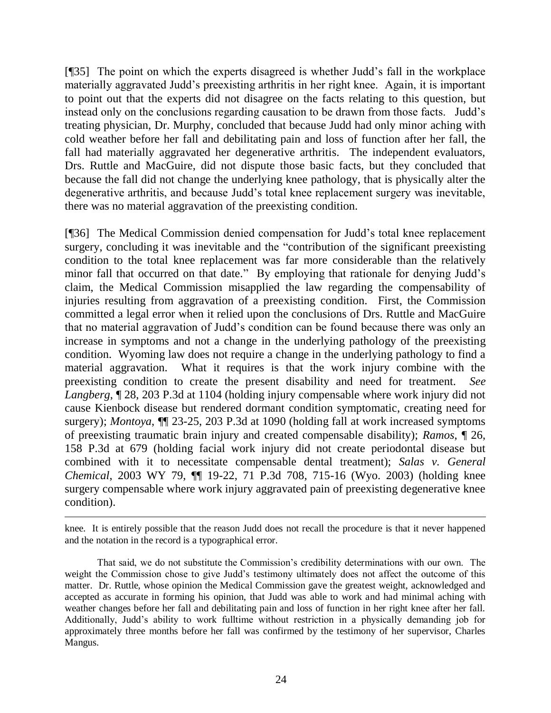[¶35] The point on which the experts disagreed is whether Judd"s fall in the workplace materially aggravated Judd"s preexisting arthritis in her right knee. Again, it is important to point out that the experts did not disagree on the facts relating to this question, but instead only on the conclusions regarding causation to be drawn from those facts. Judd's treating physician, Dr. Murphy, concluded that because Judd had only minor aching with cold weather before her fall and debilitating pain and loss of function after her fall, the fall had materially aggravated her degenerative arthritis. The independent evaluators, Drs. Ruttle and MacGuire, did not dispute those basic facts, but they concluded that because the fall did not change the underlying knee pathology, that is physically alter the degenerative arthritis, and because Judd"s total knee replacement surgery was inevitable, there was no material aggravation of the preexisting condition.

[¶36] The Medical Commission denied compensation for Judd"s total knee replacement surgery, concluding it was inevitable and the "contribution of the significant preexisting condition to the total knee replacement was far more considerable than the relatively minor fall that occurred on that date." By employing that rationale for denying Judd's claim, the Medical Commission misapplied the law regarding the compensability of injuries resulting from aggravation of a preexisting condition. First, the Commission committed a legal error when it relied upon the conclusions of Drs. Ruttle and MacGuire that no material aggravation of Judd"s condition can be found because there was only an increase in symptoms and not a change in the underlying pathology of the preexisting condition. Wyoming law does not require a change in the underlying pathology to find a material aggravation. What it requires is that the work injury combine with the preexisting condition to create the present disability and need for treatment. *See Langberg*, ¶ 28, 203 P.3d at 1104 (holding injury compensable where work injury did not cause Kienbock disease but rendered dormant condition symptomatic, creating need for surgery); *Montoya*, ¶¶ 23-25, 203 P.3d at 1090 (holding fall at work increased symptoms of preexisting traumatic brain injury and created compensable disability); *Ramos*, ¶ 26, 158 P.3d at 679 (holding facial work injury did not create periodontal disease but combined with it to necessitate compensable dental treatment); *Salas v. General Chemical*, 2003 WY 79, ¶¶ 19-22, 71 P.3d 708, 715-16 (Wyo. 2003) (holding knee surgery compensable where work injury aggravated pain of preexisting degenerative knee condition).

knee. It is entirely possible that the reason Judd does not recall the procedure is that it never happened and the notation in the record is a typographical error.

 $\overline{a}$ 

That said, we do not substitute the Commission"s credibility determinations with our own. The weight the Commission chose to give Judd"s testimony ultimately does not affect the outcome of this matter. Dr. Ruttle, whose opinion the Medical Commission gave the greatest weight, acknowledged and accepted as accurate in forming his opinion, that Judd was able to work and had minimal aching with weather changes before her fall and debilitating pain and loss of function in her right knee after her fall. Additionally, Judd"s ability to work fulltime without restriction in a physically demanding job for approximately three months before her fall was confirmed by the testimony of her supervisor, Charles Mangus.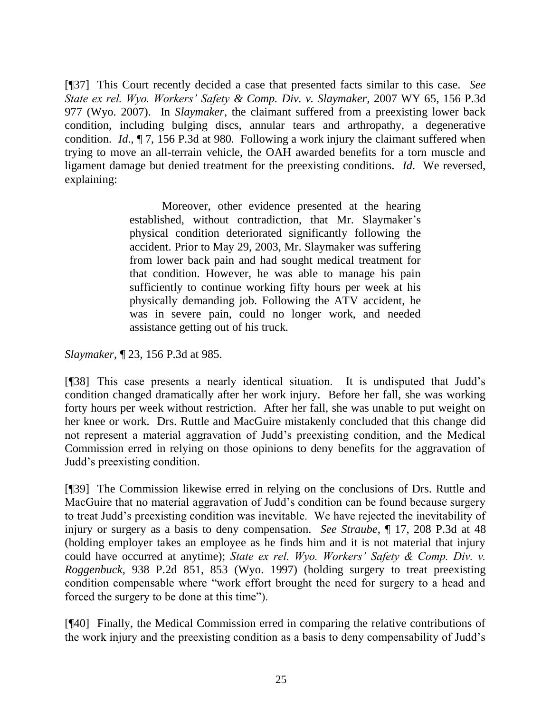[¶37] This Court recently decided a case that presented facts similar to this case. *See State ex rel. Wyo. Workers' Safety & Comp. Div. v. Slaymaker,* 2007 WY 65*,* 156 P.3d 977 (Wyo. 2007). In *Slaymaker*, the claimant suffered from a preexisting lower back condition, including bulging discs, annular tears and arthropathy, a degenerative condition. *Id*., ¶ 7, 156 P.3d at 980. Following a work injury the claimant suffered when trying to move an all-terrain vehicle, the OAH awarded benefits for a torn muscle and ligament damage but denied treatment for the preexisting conditions. *Id*. We reversed, explaining:

> Moreover, other evidence presented at the hearing established, without contradiction, that Mr. Slaymaker's physical condition deteriorated significantly following the accident. Prior to May 29, 2003, Mr. Slaymaker was suffering from lower back pain and had sought medical treatment for that condition. However, he was able to manage his pain sufficiently to continue working fifty hours per week at his physically demanding job. Following the ATV accident, he was in severe pain, could no longer work, and needed assistance getting out of his truck.

*Slaymaker*, ¶ 23, 156 P.3d at 985.

[¶38] This case presents a nearly identical situation. It is undisputed that Judd"s condition changed dramatically after her work injury. Before her fall, she was working forty hours per week without restriction. After her fall, she was unable to put weight on her knee or work. Drs. Ruttle and MacGuire mistakenly concluded that this change did not represent a material aggravation of Judd"s preexisting condition, and the Medical Commission erred in relying on those opinions to deny benefits for the aggravation of Judd"s preexisting condition.

[¶39] The Commission likewise erred in relying on the conclusions of Drs. Ruttle and MacGuire that no material aggravation of Judd"s condition can be found because surgery to treat Judd"s preexisting condition was inevitable. We have rejected the inevitability of injury or surgery as a basis to deny compensation. *See Straube*, ¶ 17, 208 P.3d at 48 (holding employer takes an employee as he finds him and it is not material that injury could have occurred at anytime); *State ex rel. Wyo. Workers' Safety & Comp. Div. v. Roggenbuck*, 938 P.2d 851, 853 (Wyo. 1997) (holding surgery to treat preexisting condition compensable where "work effort brought the need for surgery to a head and forced the surgery to be done at this time").

[¶40] Finally, the Medical Commission erred in comparing the relative contributions of the work injury and the preexisting condition as a basis to deny compensability of Judd"s